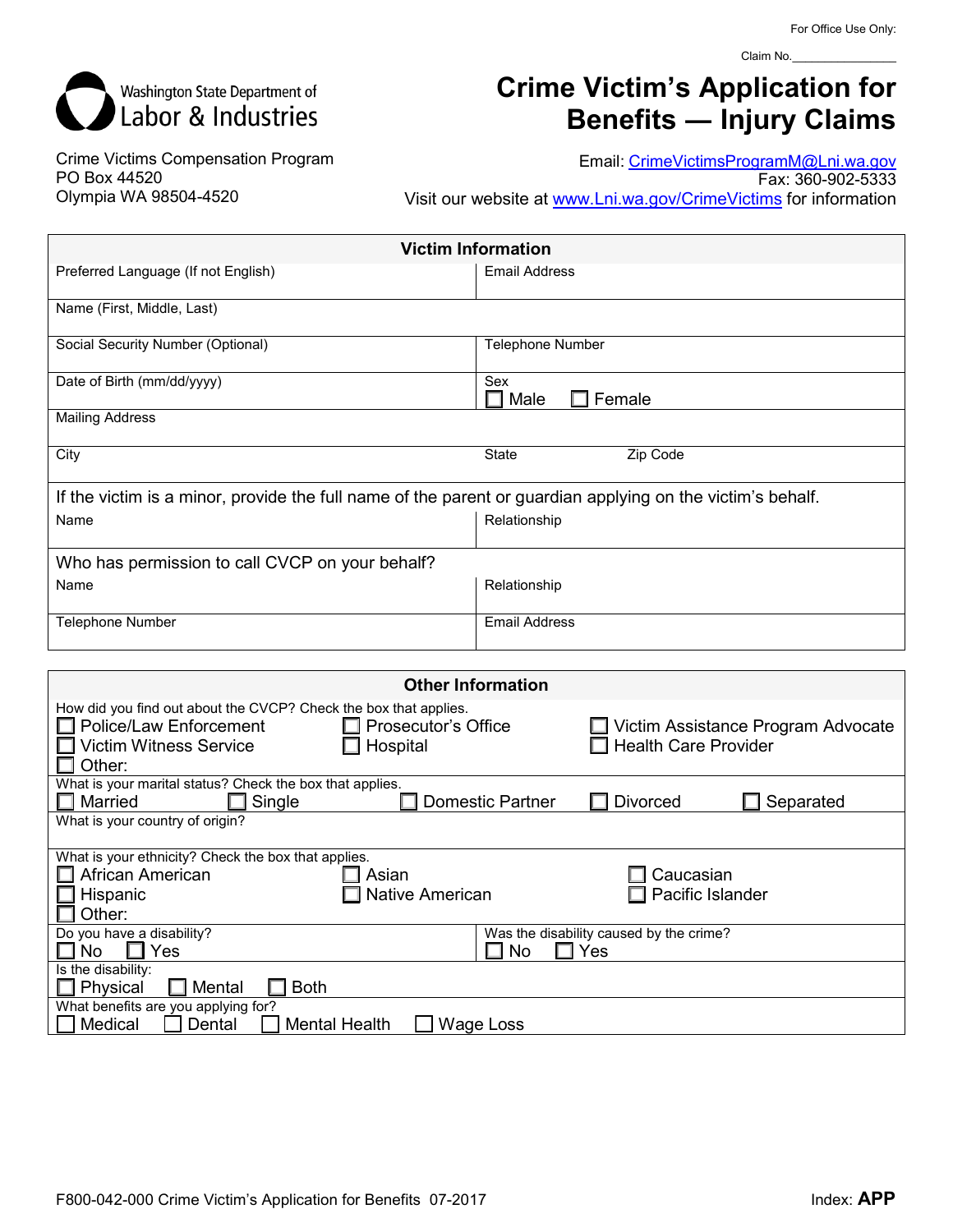

## **Crime Victim's Application for Benefits ― Injury Claims**

Crime Victims Compensation Program PO Box 44520 Olympia WA 98504-4520

Email: [CrimeVictimsProgramM@Lni.wa.gov](mailto:CrimeVictimsProgramM@Lni.wa.gov) Fax: 360-902-5333 Visit our website at [www.Lni.wa.gov/CrimeVictims](http://www.lni.wa.gov/CrimeVictims) for information

| <b>Victim Information</b>                                                                                  |                         |  |  |  |
|------------------------------------------------------------------------------------------------------------|-------------------------|--|--|--|
| Preferred Language (If not English)                                                                        | <b>Email Address</b>    |  |  |  |
| Name (First, Middle, Last)                                                                                 |                         |  |  |  |
| Social Security Number (Optional)                                                                          | <b>Telephone Number</b> |  |  |  |
| Date of Birth (mm/dd/yyyy)                                                                                 | Sex<br>Male<br>Female   |  |  |  |
| <b>Mailing Address</b>                                                                                     |                         |  |  |  |
| City                                                                                                       | Zip Code<br>State       |  |  |  |
| If the victim is a minor, provide the full name of the parent or guardian applying on the victim's behalf. |                         |  |  |  |
| Name                                                                                                       | Relationship            |  |  |  |
| Who has permission to call CVCP on your behalf?                                                            |                         |  |  |  |
| Name                                                                                                       | Relationship            |  |  |  |
| Telephone Number                                                                                           | <b>Email Address</b>    |  |  |  |

| <b>Other Information</b>                                                                                                                                             |                                                       |                                                                   |  |  |  |
|----------------------------------------------------------------------------------------------------------------------------------------------------------------------|-------------------------------------------------------|-------------------------------------------------------------------|--|--|--|
| How did you find out about the CVCP? Check the box that applies.<br>Police/Law Enforcement<br><b>Victim Witness Service</b><br>Other:                                | <b>Prosecutor's Office</b><br>Hospital                | Victim Assistance Program Advocate<br><b>Health Care Provider</b> |  |  |  |
| What is your marital status? Check the box that applies.<br>Single<br>Married<br><b>Divorced</b><br>Separated<br>Domestic Partner<br>What is your country of origin? |                                                       |                                                                   |  |  |  |
| What is your ethnicity? Check the box that applies.<br>African American<br>Hispanic<br>Other:                                                                        | Asian<br>Native American                              | Caucasian<br>Pacific Islander                                     |  |  |  |
| Do you have a disability?<br>Yes<br>No.                                                                                                                              | Was the disability caused by the crime?<br>No.<br>Yes |                                                                   |  |  |  |
| Is the disability:<br>Physical<br><b>Both</b><br>Mental<br>What benefits are you applying for?<br>Medical<br>Dental<br><b>Mental Health</b><br>Wage Loss             |                                                       |                                                                   |  |  |  |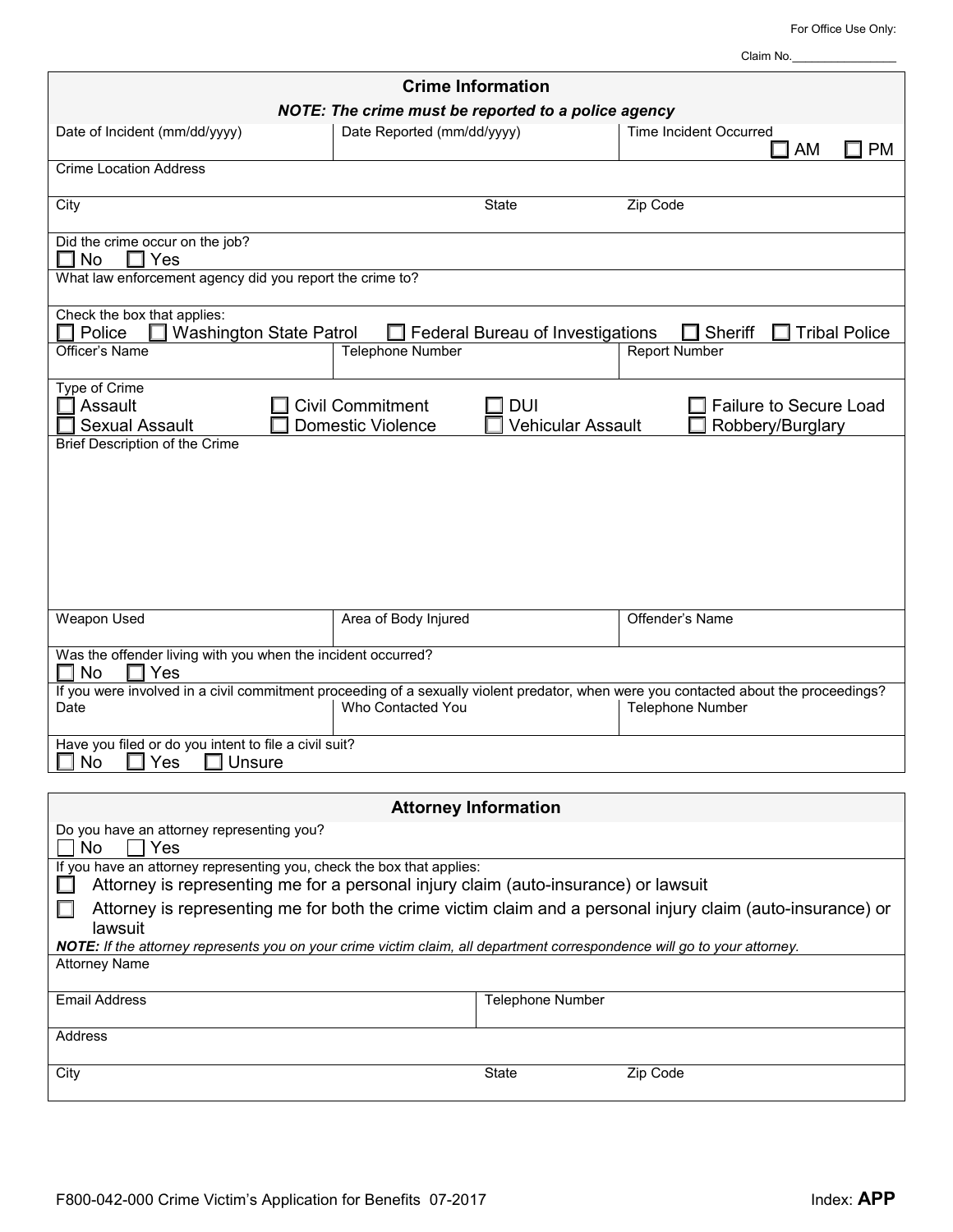For Office Use Only:

Claim No.\_

| <b>Crime Information</b>                                                                                                                                     |                                                                                               |                                                                                                                                                                 |  |  |  |  |
|--------------------------------------------------------------------------------------------------------------------------------------------------------------|-----------------------------------------------------------------------------------------------|-----------------------------------------------------------------------------------------------------------------------------------------------------------------|--|--|--|--|
| NOTE: The crime must be reported to a police agency                                                                                                          |                                                                                               |                                                                                                                                                                 |  |  |  |  |
| Date of Incident (mm/dd/yyyy)                                                                                                                                | Date Reported (mm/dd/yyyy)                                                                    | <b>Time Incident Occurred</b><br>] PM<br>AM                                                                                                                     |  |  |  |  |
| <b>Crime Location Address</b>                                                                                                                                |                                                                                               |                                                                                                                                                                 |  |  |  |  |
| City                                                                                                                                                         | <b>State</b>                                                                                  | Zip Code                                                                                                                                                        |  |  |  |  |
| Did the crime occur on the job?<br>No<br>Yes<br>H<br>. .                                                                                                     |                                                                                               |                                                                                                                                                                 |  |  |  |  |
| What law enforcement agency did you report the crime to?                                                                                                     |                                                                                               |                                                                                                                                                                 |  |  |  |  |
| Check the box that applies:<br><b>Washington State Patrol</b><br>Police                                                                                      | Federal Bureau of Investigations                                                              | Sheriff<br><b>Tribal Police</b>                                                                                                                                 |  |  |  |  |
| Officer's Name                                                                                                                                               | Telephone Number                                                                              | <b>Report Number</b>                                                                                                                                            |  |  |  |  |
| Type of Crime<br>Assault<br><b>Sexual Assault</b><br>Brief Description of the Crime                                                                          | <b>Civil Commitment</b><br><b>DUI</b><br><b>Domestic Violence</b><br><b>Vehicular Assault</b> | <b>Failure to Secure Load</b><br>Robbery/Burglary                                                                                                               |  |  |  |  |
|                                                                                                                                                              |                                                                                               |                                                                                                                                                                 |  |  |  |  |
| Weapon Used                                                                                                                                                  | Area of Body Injured                                                                          | Offender's Name                                                                                                                                                 |  |  |  |  |
| Was the offender living with you when the incident occurred?<br><b>No</b><br>Yes                                                                             |                                                                                               |                                                                                                                                                                 |  |  |  |  |
| Date                                                                                                                                                         | Who Contacted You                                                                             | If you were involved in a civil commitment proceeding of a sexually violent predator, when were you contacted about the proceedings?<br><b>Telephone Number</b> |  |  |  |  |
| Have you filed or do you intent to file a civil suit?<br>Unsure<br>No<br>Yes                                                                                 |                                                                                               |                                                                                                                                                                 |  |  |  |  |
|                                                                                                                                                              |                                                                                               |                                                                                                                                                                 |  |  |  |  |
|                                                                                                                                                              | <b>Attorney Information</b>                                                                   |                                                                                                                                                                 |  |  |  |  |
| Do you have an attorney representing you?<br>No.<br>Yes                                                                                                      |                                                                                               |                                                                                                                                                                 |  |  |  |  |
| If you have an attorney representing you, check the box that applies:<br>Attorney is representing me for a personal injury claim (auto-insurance) or lawsuit |                                                                                               |                                                                                                                                                                 |  |  |  |  |
| Attorney is representing me for both the crime victim claim and a personal injury claim (auto-insurance) or<br>lawsuit                                       |                                                                                               |                                                                                                                                                                 |  |  |  |  |
| NOTE: If the attorney represents you on your crime victim claim, all department correspondence will go to your attorney.                                     |                                                                                               |                                                                                                                                                                 |  |  |  |  |
| <b>Attorney Name</b>                                                                                                                                         |                                                                                               |                                                                                                                                                                 |  |  |  |  |
| <b>Email Address</b>                                                                                                                                         | <b>Telephone Number</b>                                                                       |                                                                                                                                                                 |  |  |  |  |
| Address                                                                                                                                                      |                                                                                               |                                                                                                                                                                 |  |  |  |  |
| City                                                                                                                                                         | State                                                                                         | Zip Code                                                                                                                                                        |  |  |  |  |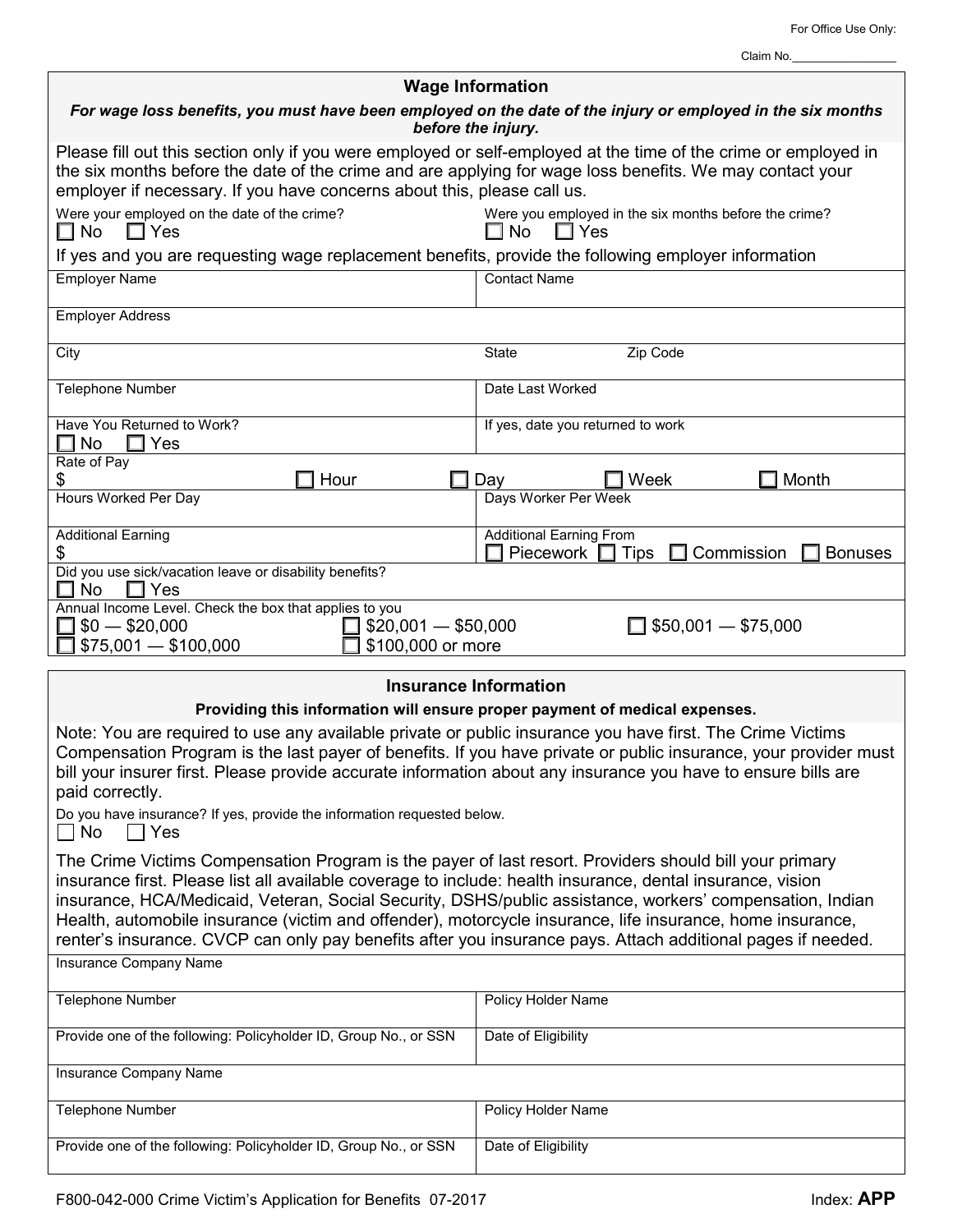┑

| <b>Wage Information</b>                                                                                                                                                                                                                                                                                                                                                                                                                                                                                                                                      |                                                                            |  |  |  |
|--------------------------------------------------------------------------------------------------------------------------------------------------------------------------------------------------------------------------------------------------------------------------------------------------------------------------------------------------------------------------------------------------------------------------------------------------------------------------------------------------------------------------------------------------------------|----------------------------------------------------------------------------|--|--|--|
| For wage loss benefits, you must have been employed on the date of the injury or employed in the six months<br>before the injury.                                                                                                                                                                                                                                                                                                                                                                                                                            |                                                                            |  |  |  |
| Please fill out this section only if you were employed or self-employed at the time of the crime or employed in<br>the six months before the date of the crime and are applying for wage loss benefits. We may contact your<br>employer if necessary. If you have concerns about this, please call us.                                                                                                                                                                                                                                                       |                                                                            |  |  |  |
| Were your employed on the date of the crime?<br>Were you employed in the six months before the crime?<br>$\square$ No<br>$\Box$ Yes<br>$\square$ No<br>$\Box$ Yes                                                                                                                                                                                                                                                                                                                                                                                            |                                                                            |  |  |  |
| If yes and you are requesting wage replacement benefits, provide the following employer information                                                                                                                                                                                                                                                                                                                                                                                                                                                          |                                                                            |  |  |  |
| <b>Employer Name</b>                                                                                                                                                                                                                                                                                                                                                                                                                                                                                                                                         | <b>Contact Name</b>                                                        |  |  |  |
| <b>Employer Address</b>                                                                                                                                                                                                                                                                                                                                                                                                                                                                                                                                      |                                                                            |  |  |  |
| City                                                                                                                                                                                                                                                                                                                                                                                                                                                                                                                                                         | Zip Code<br><b>State</b>                                                   |  |  |  |
| <b>Telephone Number</b>                                                                                                                                                                                                                                                                                                                                                                                                                                                                                                                                      | Date Last Worked                                                           |  |  |  |
| Have You Returned to Work?<br>$\square$ No<br>$\Box$ Yes                                                                                                                                                                                                                                                                                                                                                                                                                                                                                                     | If yes, date you returned to work                                          |  |  |  |
| Rate of Pay                                                                                                                                                                                                                                                                                                                                                                                                                                                                                                                                                  |                                                                            |  |  |  |
| \$<br>Hour<br>Hours Worked Per Day                                                                                                                                                                                                                                                                                                                                                                                                                                                                                                                           | Month<br>Week<br>Day<br>Days Worker Per Week                               |  |  |  |
| <b>Additional Earning</b>                                                                                                                                                                                                                                                                                                                                                                                                                                                                                                                                    | <b>Additional Earning From</b>                                             |  |  |  |
| \$<br>Did you use sick/vacation leave or disability benefits?                                                                                                                                                                                                                                                                                                                                                                                                                                                                                                | Piecework $\Box$ Tips<br>Commission<br><b>Bonuses</b>                      |  |  |  |
| <b>No</b><br>Yes<br>- 1                                                                                                                                                                                                                                                                                                                                                                                                                                                                                                                                      |                                                                            |  |  |  |
| Annual Income Level. Check the box that applies to you<br>$$20,001 - $50,000$<br>$$0 - $20,000$                                                                                                                                                                                                                                                                                                                                                                                                                                                              | $\Box$ \$50,001 - \$75,000                                                 |  |  |  |
| $$75,001 - $100,000$<br>\$100,000 or more                                                                                                                                                                                                                                                                                                                                                                                                                                                                                                                    |                                                                            |  |  |  |
|                                                                                                                                                                                                                                                                                                                                                                                                                                                                                                                                                              | <b>Insurance Information</b>                                               |  |  |  |
|                                                                                                                                                                                                                                                                                                                                                                                                                                                                                                                                                              | Providing this information will ensure proper payment of medical expenses. |  |  |  |
| Note: You are required to use any available private or public insurance you have first. The Crime Victims<br>Compensation Program is the last payer of benefits. If you have private or public insurance, your provider must<br>bill your insurer first. Please provide accurate information about any insurance you have to ensure bills are<br>paid correctly.                                                                                                                                                                                             |                                                                            |  |  |  |
| Do you have insurance? If yes, provide the information requested below.<br>No<br>Yes                                                                                                                                                                                                                                                                                                                                                                                                                                                                         |                                                                            |  |  |  |
| The Crime Victims Compensation Program is the payer of last resort. Providers should bill your primary<br>insurance first. Please list all available coverage to include: health insurance, dental insurance, vision<br>insurance, HCA/Medicaid, Veteran, Social Security, DSHS/public assistance, workers' compensation, Indian<br>Health, automobile insurance (victim and offender), motorcycle insurance, life insurance, home insurance,<br>renter's insurance. CVCP can only pay benefits after you insurance pays. Attach additional pages if needed. |                                                                            |  |  |  |
| Insurance Company Name                                                                                                                                                                                                                                                                                                                                                                                                                                                                                                                                       |                                                                            |  |  |  |
| Telephone Number                                                                                                                                                                                                                                                                                                                                                                                                                                                                                                                                             | Policy Holder Name                                                         |  |  |  |
| Provide one of the following: Policyholder ID, Group No., or SSN                                                                                                                                                                                                                                                                                                                                                                                                                                                                                             | Date of Eligibility                                                        |  |  |  |
| Insurance Company Name                                                                                                                                                                                                                                                                                                                                                                                                                                                                                                                                       |                                                                            |  |  |  |
| Telephone Number                                                                                                                                                                                                                                                                                                                                                                                                                                                                                                                                             | Policy Holder Name                                                         |  |  |  |
| Provide one of the following: Policyholder ID, Group No., or SSN<br>Date of Eligibility                                                                                                                                                                                                                                                                                                                                                                                                                                                                      |                                                                            |  |  |  |
|                                                                                                                                                                                                                                                                                                                                                                                                                                                                                                                                                              |                                                                            |  |  |  |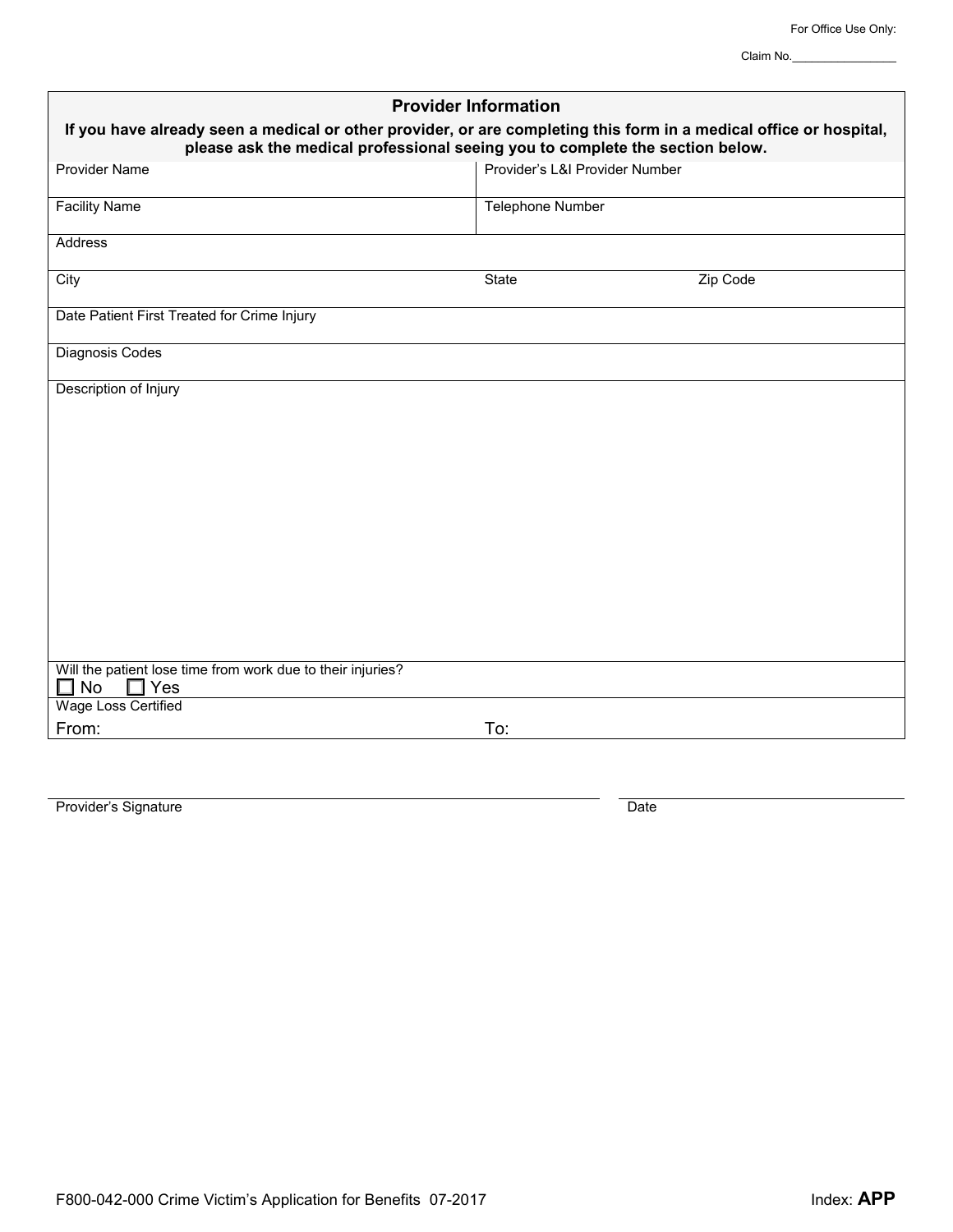Claim No.\_\_\_\_\_\_\_\_\_\_\_\_\_\_\_\_

| <b>Provider Information</b>                                                                                                                                                                         |                                |          |  |  |
|-----------------------------------------------------------------------------------------------------------------------------------------------------------------------------------------------------|--------------------------------|----------|--|--|
| If you have already seen a medical or other provider, or are completing this form in a medical office or hospital,<br>please ask the medical professional seeing you to complete the section below. |                                |          |  |  |
| <b>Provider Name</b>                                                                                                                                                                                | Provider's L&I Provider Number |          |  |  |
| <b>Facility Name</b>                                                                                                                                                                                | Telephone Number               |          |  |  |
| Address                                                                                                                                                                                             |                                |          |  |  |
| City                                                                                                                                                                                                | <b>State</b>                   | Zip Code |  |  |
| Date Patient First Treated for Crime Injury                                                                                                                                                         |                                |          |  |  |
| Diagnosis Codes                                                                                                                                                                                     |                                |          |  |  |
| Description of Injury                                                                                                                                                                               |                                |          |  |  |
|                                                                                                                                                                                                     |                                |          |  |  |
|                                                                                                                                                                                                     |                                |          |  |  |
|                                                                                                                                                                                                     |                                |          |  |  |
|                                                                                                                                                                                                     |                                |          |  |  |
|                                                                                                                                                                                                     |                                |          |  |  |
|                                                                                                                                                                                                     |                                |          |  |  |
|                                                                                                                                                                                                     |                                |          |  |  |
| Will the patient lose time from work due to their injuries?<br>$\square$ No<br>Yes                                                                                                                  |                                |          |  |  |
| <b>Wage Loss Certified</b>                                                                                                                                                                          |                                |          |  |  |
| From:                                                                                                                                                                                               | To:                            |          |  |  |

Provider's Signature Date Date Date Date Date Date